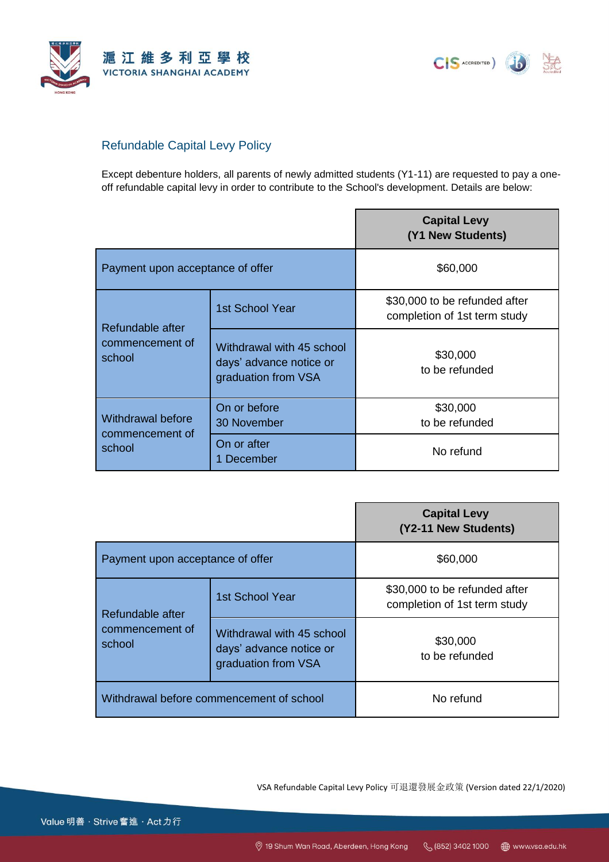

CIS ACCREDITED)

## Refundable Capital Levy Policy

Except debenture holders, all parents of newly admitted students (Y1-11) are requested to pay a oneoff refundable capital levy in order to contribute to the School's development. Details are below:

|                                                       |                                                                             | <b>Capital Levy</b><br>(Y1 New Students)                      |
|-------------------------------------------------------|-----------------------------------------------------------------------------|---------------------------------------------------------------|
| Payment upon acceptance of offer                      |                                                                             | \$60,000                                                      |
| Refundable after<br>commencement of<br>school         | 1st School Year                                                             | \$30,000 to be refunded after<br>completion of 1st term study |
|                                                       | Withdrawal with 45 school<br>days' advance notice or<br>graduation from VSA | \$30,000<br>to be refunded                                    |
| <b>Withdrawal before</b><br>commencement of<br>school | On or before<br>30 November                                                 | \$30,000<br>to be refunded                                    |
|                                                       | On or after<br>December                                                     | No refund                                                     |

|                                               |                                                                             | <b>Capital Levy</b><br>(Y2-11 New Students)                   |
|-----------------------------------------------|-----------------------------------------------------------------------------|---------------------------------------------------------------|
| Payment upon acceptance of offer              |                                                                             | \$60,000                                                      |
| Refundable after<br>commencement of<br>school | 1st School Year                                                             | \$30,000 to be refunded after<br>completion of 1st term study |
|                                               | Withdrawal with 45 school<br>days' advance notice or<br>graduation from VSA | \$30,000<br>to be refunded                                    |
| Withdrawal before commencement of school      |                                                                             | No refund                                                     |

VSA Refundable Capital Levy Policy 可退還發展金政策 (Version dated 22/1/2020)